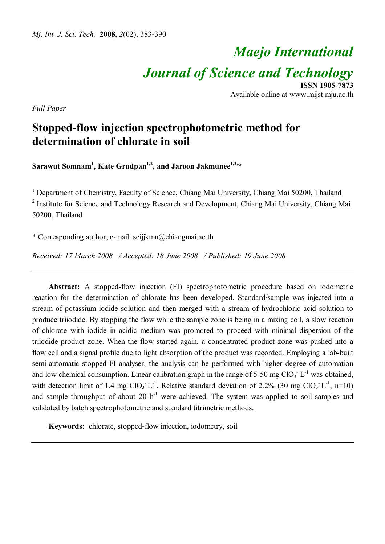# *Maejo International*

*Journal of Science and Technology*

**ISSN 1905-7873** Available online at www.mijst.mju.ac.th

*Full Paper*

# **Stopped-flow injection spectrophotometric method for determination of chlorate in soil**

**Sarawut Somnam<sup>1</sup> , Kate Grudpan1,2 , and Jaroon Jakmunee1,2, \***

<sup>1</sup> Department of Chemistry, Faculty of Science, Chiang Mai University, Chiang Mai 50200, Thailand <sup>2</sup> Institute for Science and Technology Research and Development, Chiang Mai University, Chiang Mai 50200, Thailand

\* Corresponding author, e-mail: scijjkmn@chiangmai.ac.th

*Received: 17 March 2008 / Accepted: 18 June 2008 / Published: 19 June 2008*

**Abstract:** A stopped-flow injection (FI) spectrophotometric procedure based on iodometric reaction for the determination of chlorate has been developed. Standard/sample was injected into a stream of potassium iodide solution and then merged with a stream of hydrochloric acid solution to produce triiodide. By stopping the flow while the sample zone is being in a mixing coil, a slow reaction of chlorate with iodide in acidic medium was promoted to proceed with minimal dispersion of the triiodide product zone. When the flow started again, a concentrated product zone was pushed into a flow cell and a signal profile due to light absorption of the product was recorded. Employing a lab-built semi-automatic stopped-FI analyser, the analysis can be performed with higher degree of automation and low chemical consumption. Linear calibration graph in the range of 5-50 mg ClO<sub>3</sub>  $L^{-1}$  was obtained, with detection limit of 1.4 mg  $ClO<sub>3</sub>^{\text{-}1}L^{\text{-}1}$ . Relative standard deviation of 2.2% (30 mg  $ClO<sub>3</sub>^{\text{-}1}L^{\text{-}1}$ , n=10) and sample throughput of about 20  $h^{-1}$  were achieved. The system was applied to soil samples and validated by batch spectrophotometric and standard titrimetric methods.

**Keywords:** chlorate, stopped-flow injection, iodometry, soil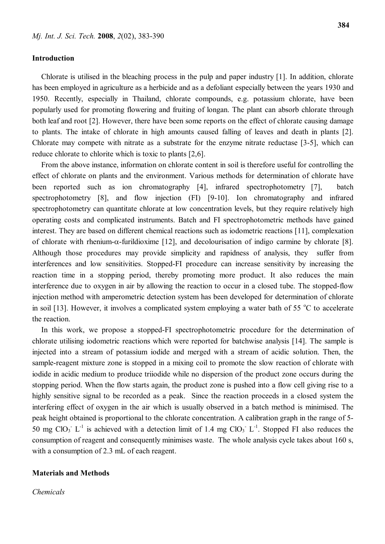#### **Introduction**

Chlorate is utilised in the bleaching process in the pulp and paper industry [1]. In addition, chlorate has been employed in agriculture as a herbicide and as a defoliant especially between the years 1930 and 1950. Recently, especially in Thailand, chlorate compounds, e.g. potassium chlorate, have been popularly used for promoting flowering and fruiting of longan. The plant can absorb chlorate through both leaf and root [2]. However, there have been some reports on the effect of chlorate causing damage to plants. The intake of chlorate in high amounts caused falling of leaves and death in plants [2]. Chlorate may compete with nitrate as a substrate for the enzyme nitrate reductase [3-5], which can reduce chlorate to chlorite which is toxic to plants [2,6].

From the above instance, information on chlorate content in soil is therefore useful for controlling the effect of chlorate on plants and the environment. Various methods for determination of chlorate have been reported such as ion chromatography [4], infrared spectrophotometry [7], batch spectrophotometry [8], and flow injection (FI) [9-10]. Ion chromatography and infrared spectrophotometry can quantitate chlorate at low concentration levels, but they require relatively high operating costs and complicated instruments. Batch and FI spectrophotometric methods have gained interest. They are based on different chemical reactions such as iodometric reactions [11], complexation of chlorate with rhenium- $\alpha$ -furildioxime [12], and decolourisation of indigo carmine by chlorate [8]. Although those procedures may provide simplicity and rapidness of analysis, they suffer from interferences and low sensitivities. Stopped-FI procedure can increase sensitivity by increasing the reaction time in a stopping period, thereby promoting more product. It also reduces the main interference due to oxygen in air by allowing the reaction to occur in a closed tube. The stopped-flow injection method with amperometric detection system has been developed for determination of chlorate in soil [13]. However, it involves a complicated system employing a water bath of 55  $\degree$ C to accelerate the reaction.

In this work, we propose a stopped-FI spectrophotometric procedure for the determination of chlorate utilising iodometric reactions which were reported for batchwise analysis [14]. The sample is injected into a stream of potassium iodide and merged with a stream of acidic solution. Then, the sample-reagent mixture zone is stopped in a mixing coil to promote the slow reaction of chlorate with iodide in acidic medium to produce triiodide while no dispersion of the product zone occurs during the stopping period. When the flow starts again, the product zone is pushed into a flow cell giving rise to a highly sensitive signal to be recorded as a peak. Since the reaction proceeds in a closed system the interfering effect of oxygen in the air which is usually observed in a batch method is minimised. The peak height obtained is proportional to the chlorate concentration. A calibration graph in the range of 5- 50 mg ClO<sub>3</sub><sup>-</sup> L<sup>-1</sup> is achieved with a detection limit of 1.4 mg ClO<sub>3</sub><sup>-</sup> L<sup>-1</sup>. Stopped FI also reduces the consumption of reagent and consequently minimises waste. The whole analysis cycle takes about 160 s, with a consumption of 2.3 mL of each reagent.

## **Materials and Methods**

*Chemicals*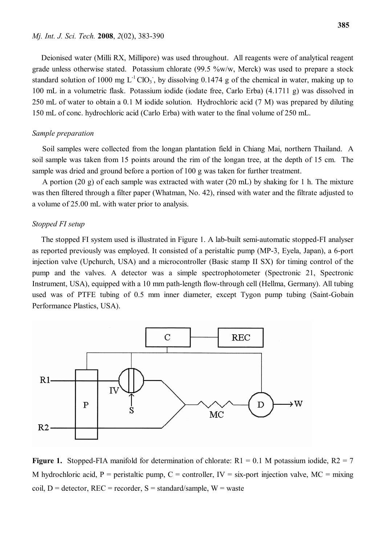Deionised water (Milli RX, Millipore) was used throughout. All reagents were of analytical reagent grade unless otherwise stated. Potassium chlorate (99.5 %w/w, Merck) was used to prepare a stock standard solution of 1000 mg  $L^{-1}ClO<sub>3</sub>$ , by dissolving 0.1474 g of the chemical in water, making up to 100 mL in a volumetric flask. Potassium iodide (iodate free, Carlo Erba) (4.1711 g) was dissolved in 250 mL of water to obtain a 0.1 M iodide solution. Hydrochloric acid (7 M) was prepared by diluting 150 mL of conc. hydrochloric acid (Carlo Erba) with water to the final volume of 250 mL.

### *Sample preparation*

 Soil samples were collected from the longan plantation field in Chiang Mai, northern Thailand. A soil sample was taken from 15 points around the rim of the longan tree, at the depth of 15 cm. The sample was dried and ground before a portion of 100 g was taken for further treatment.

 A portion (20 g) of each sample was extracted with water (20 mL) by shaking for 1 h. The mixture was then filtered through a filter paper (Whatman, No. 42), rinsed with water and the filtrate adjusted to a volume of 25.00 mL with water prior to analysis.

## *Stopped FI setup*

The stopped FI system used is illustrated in Figure 1. A lab-built semi-automatic stopped-FI analyser as reported previously was employed. It consisted of a peristaltic pump (MP-3, Eyela, Japan), a 6-port injection valve (Upchurch, USA) and a microcontroller (Basic stamp II SX) for timing control of the pump and the valves. A detector was a simple spectrophotometer (Spectronic 21, Spectronic Instrument, USA), equipped with a 10 mm path-length flow-through cell (Hellma, Germany). All tubing used was of PTFE tubing of 0.5 mm inner diameter, except Tygon pump tubing (Saint-Gobain Performance Plastics, USA).



**Figure 1.** Stopped-FIA manifold for determination of chlorate:  $R1 = 0.1$  M potassium iodide,  $R2 = 7$ M hydrochloric acid, P = peristaltic pump, C = controller,  $IV = \text{s}$ ix-port injection valve, MC = mixing coil,  $D =$  detector,  $REC =$  recorder,  $S =$  standard/sample,  $W =$  waste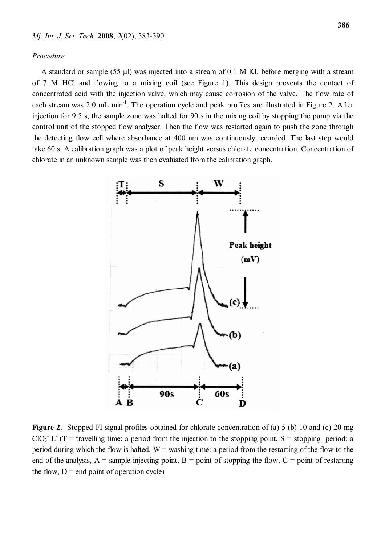#### *Procedure*

A standard or sample (55  $\mu$ ) was injected into a stream of 0.1 M KI, before merging with a stream of 7 M HCl and flowing to a mixing coil (see Figure 1). This design prevents the contact of concentrated acid with the injection valve, which may cause corrosion of the valve. The flow rate of each stream was 2.0 mL min<sup>-1</sup>. The operation cycle and peak profiles are illustrated in Figure 2. After injection for 9.5 s, the sample zone was halted for 90 s in the mixing coil by stopping the pump via the control unit of the stopped flow analyser. Then the flow was restarted again to push the zone through the detecting flow cell where absorbance at 400 nm was continuously recorded. The last step would take 60 s. A calibration graph was a plot of peak height versus chlorate concentration. Concentration of chlorate in an unknown sample was then evaluated from the calibration graph.



**Figure 2.** Stopped-FI signal profiles obtained for chlorate concentration of (a) 5 (b) 10 and (c) 20 mg ClO<sub>3</sub><sup>-</sup> L<sup>-</sup> (T = travelling time: a period from the injection to the stopping point, S = stopping period: a period during which the flow is halted,  $W =$  washing time: a period from the restarting of the flow to the end of the analysis,  $A =$  sample injecting point,  $B =$  point of stopping the flow,  $C =$  point of restarting the flow,  $D =$  end point of operation cycle)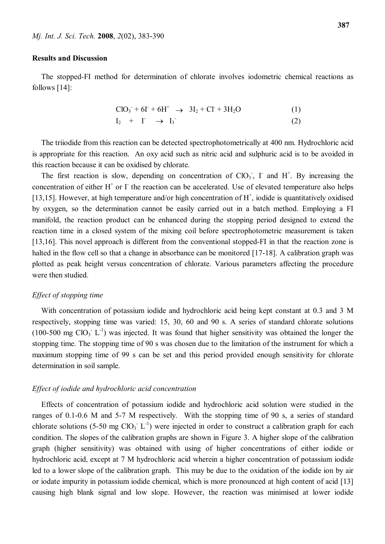#### **Results and Discussion**

The stopped-FI method for determination of chlorate involves iodometric chemical reactions as follows [14]:

$$
ClO3+ + 6I+ + 6H+ \rightarrow 3I2 + Cl+ + 3H2O
$$
\n
$$
I2 + I- \rightarrow I3-
$$
\n(1)

The triiodide from this reaction can be detected spectrophotometrically at 400 nm. Hydrochloric acid is appropriate for this reaction. An oxy acid such as nitric acid and sulphuric acid is to be avoided in this reaction because it can be oxidised by chlorate.

The first reaction is slow, depending on concentration of  $ClO<sub>3</sub>$ , I and H<sup>+</sup>. By increasing the concentration of either  $H^+$  or  $\Gamma$  the reaction can be accelerated. Use of elevated temperature also helps [13,15]. However, at high temperature and/or high concentration of H<sup>+</sup>, iodide is quantitatively oxidised by oxygen, so the determination cannot be easily carried out in a batch method. Employing a FI manifold, the reaction product can be enhanced during the stopping period designed to extend the reaction time in a closed system of the mixing coil before spectrophotometric measurement is taken [13,16]. This novel approach is different from the conventional stopped-FI in that the reaction zone is halted in the flow cell so that a change in absorbance can be monitored [17-18]. A calibration graph was plotted as peak height versus concentration of chlorate. Various parameters affecting the procedure were then studied.

## *Effect of stopping time*

With concentration of potassium iodide and hydrochloric acid being kept constant at 0.3 and 3 M respectively, stopping time was varied: 15, 30, 60 and 90 s. A series of standard chlorate solutions  $(100-500 \text{ mg ClO}_3 \text{ L}^{-1})$  was injected. It was found that higher sensitivity was obtained the longer the stopping time. The stopping time of 90 s was chosen due to the limitation of the instrument for which a maximum stopping time of 99 s can be set and this period provided enough sensitivity for chlorate determination in soil sample.

#### *Effect of iodide and hydrochloric acid concentration*

Effects of concentration of potassium iodide and hydrochloric acid solution were studied in the ranges of 0.1-0.6 M and 5-7 M respectively. With the stopping time of 90 s, a series of standard chlorate solutions (5-50 mg  $ClO_3$ <sup>-1</sup>) were injected in order to construct a calibration graph for each condition. The slopes of the calibration graphs are shown in Figure 3. A higher slope of the calibration graph (higher sensitivity) was obtained with using of higher concentrations of either iodide or hydrochloric acid, except at 7 M hydrochloric acid wherein a higher concentration of potassium iodide led to a lower slope of the calibration graph. This may be due to the oxidation of the iodide ion by air or iodate impurity in potassium iodide chemical, which is more pronounced at high content of acid [13] causing high blank signal and low slope. However, the reaction was minimised at lower iodide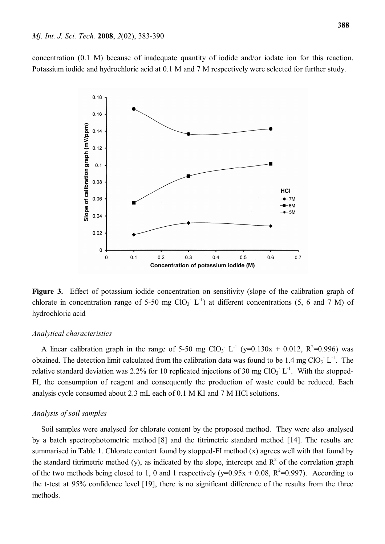concentration (0.1 M) because of inadequate quantity of iodide and/or iodate ion for this reaction. Potassium iodide and hydrochloric acid at 0.1 M and 7 M respectively were selected for further study.



**Figure 3.** Effect of potassium iodide concentration on sensitivity (slope of the calibration graph of chlorate in concentration range of 5-50 mg  $ClO<sub>3</sub>$  L<sup>-1</sup>) at different concentrations (5, 6 and 7 M) of hydrochloric acid

#### *Analytical characteristics*

A linear calibration graph in the range of 5-50 mg ClO<sub>3</sub><sup>-</sup> L<sup>-1</sup> (y=0.130x + 0.012, R<sup>2</sup>=0.996) was obtained. The detection limit calculated from the calibration data was found to be  $1.4 \text{ mg ClO}_3$ <sup>-</sup> L<sup>-1</sup>. The relative standard deviation was 2.2% for 10 replicated injections of 30 mg  $ClO<sub>3</sub>$  L<sup>-1</sup>. With the stopped-FI, the consumption of reagent and consequently the production of waste could be reduced. Each analysis cycle consumed about 2.3 mL each of 0.1 M KI and 7 M HCl solutions.

#### *Analysis of soil samples*

Soil samples were analysed for chlorate content by the proposed method. They were also analysed by a batch spectrophotometric method [8] and the titrimetric standard method [14]. The results are summarised in Table 1. Chlorate content found by stopped-FI method (x) agrees well with that found by the standard titrimetric method (y), as indicated by the slope, intercept and  $R^2$  of the correlation graph of the two methods being closed to 1, 0 and 1 respectively ( $y=0.95x + 0.08$ ,  $R^2=0.997$ ). According to the t-test at 95% confidence level [19], there is no significant difference of the results from the three methods.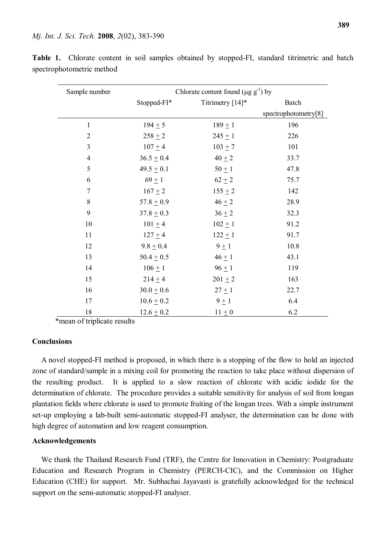| Sample number           | Chlorate content found ( $\mu$ g g <sup>-1</sup> ) by |                  |                      |
|-------------------------|-------------------------------------------------------|------------------|----------------------|
|                         | Stopped-FI*                                           | Titrimetry [14]* | Batch                |
|                         |                                                       |                  | spectrophotometry[8] |
| $\mathbf{1}$            | $194 + 5$                                             | $189 + 1$        | 196                  |
| $\overline{2}$          | $258 + 2$                                             | $245 + 1$        | 226                  |
| $\overline{\mathbf{3}}$ | $107 + 4$                                             | $103 + 7$        | 101                  |
| $\overline{4}$          | $36.5 \pm 0.4$                                        | $40 + 2$         | 33.7                 |
| 5                       | $49.5 \pm 0.1$                                        | $50 \pm 1$       | 47.8                 |
| 6                       | $69 + 1$                                              | $62 + 2$         | 75.7                 |
| $\boldsymbol{7}$        | $167 + 2$                                             | $155 + 2$        | 142                  |
| $\,$ 8 $\,$             | $57.8 \pm 0.9$                                        | $46 + 2$         | 28.9                 |
| 9                       | $37.8 + 0.3$                                          | $36 + 2$         | 32.3                 |
| 10                      | $101 + 4$                                             | $102 + 1$        | 91.2                 |
| 11                      | $127 + 4$                                             | $122 + 1$        | 91.7                 |
| 12                      | $9.8 \pm 0.4$                                         | $9 \pm 1$        | 10.8                 |
| 13                      | $50.4 \pm 0.5$                                        | $46 + 1$         | 43.1                 |
| 14                      | $106 + 1$                                             | $96 + 1$         | 119                  |
| 15                      | $214 \pm 4$                                           | $201 \pm 2$      | 163                  |
| 16                      | $30.0 \pm 0.6$                                        | $27 \pm 1$       | 22.7                 |
| 17                      | $10.6 \pm 0.2$                                        | $9 \pm 1$        | 6.4                  |
| 18                      | $12.6 \pm 0.2$                                        | $11 \pm 0$       | 6.2                  |

**Table 1.** Chlorate content in soil samples obtained by stopped-FI, standard titrimetric and batch spectrophotometric method

\*mean of triplicate results

#### **Conclusions**

A novel stopped-FI method is proposed, in which there is a stopping of the flow to hold an injected zone of standard/sample in a mixing coil for promoting the reaction to take place without dispersion of the resulting product. It is applied to a slow reaction of chlorate with acidic iodide for the determination of chlorate. The procedure provides a suitable sensitivity for analysis of soil from longan plantation fields where chlorate is used to promote fruiting of the longan trees. With a simple instrument set-up employing a lab-built semi-automatic stopped-FI analyser, the determination can be done with high degree of automation and low reagent consumption.

# **Acknowledgements**

We thank the Thailand Research Fund (TRF), the Centre for Innovation in Chemistry: Postgraduate Education and Research Program in Chemistry (PERCH-CIC), and the Commission on Higher Education (CHE) for support. Mr. Subhachai Jayavasti is gratefully acknowledged for the technical support on the semi-automatic stopped-FI analyser.